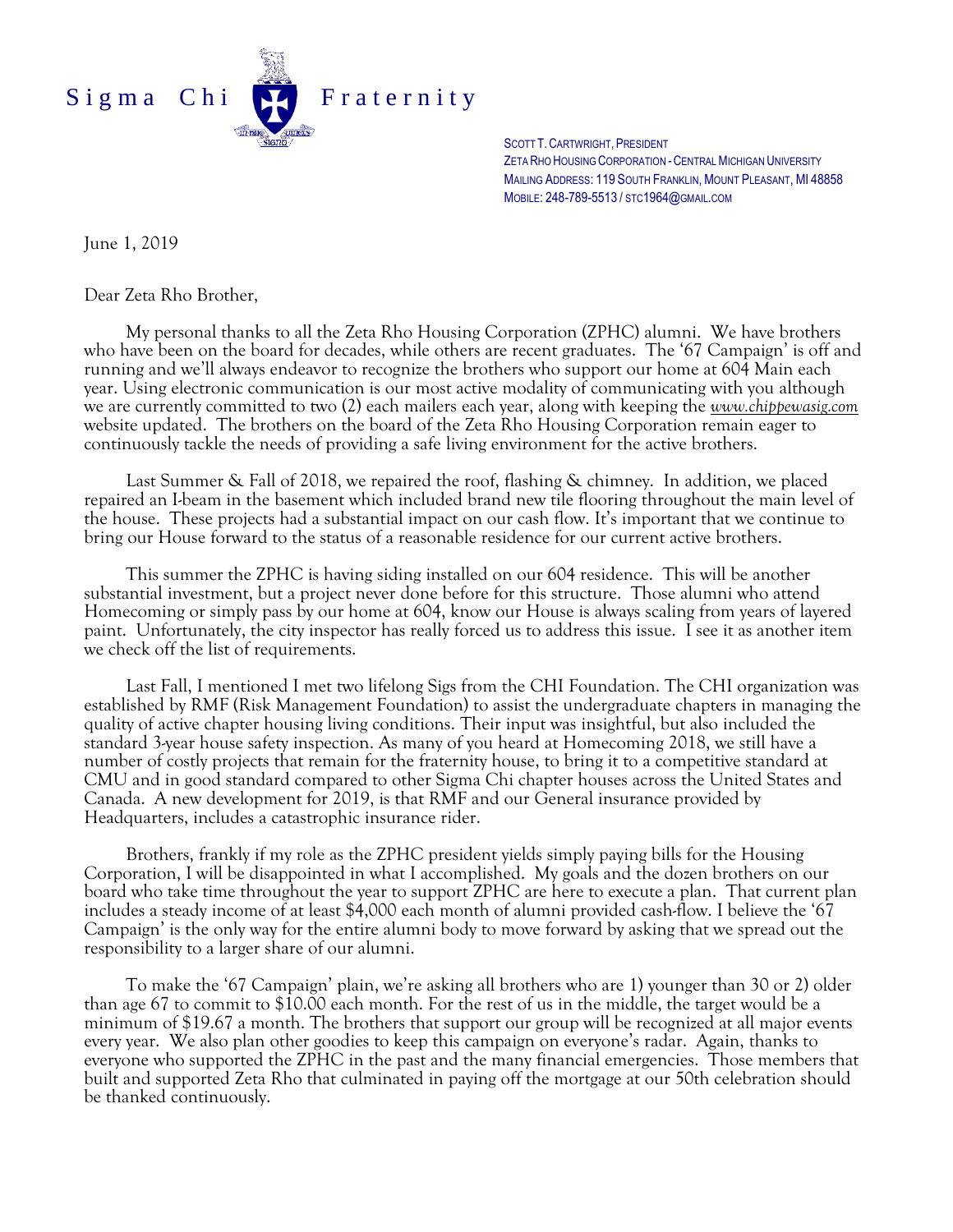

SCOTT T.CARTWRIGHT, PRESIDENT ZETA RHO HOUSING CORPORATION - CENTRAL MICHIGAN UNIVERSITY MAILING ADDRESS: 119 SOUTH FRANKLIN, MOUNT PLEASANT, MI 48858 MOBILE: 248-789-5513 / STC1964@GMAIL.COM

June 1, 2019

Dear Zeta Rho Brother,

My personal thanks to all the Zeta Rho Housing Corporation (ZPHC) alumni. We have brothers who have been on the board for decades, while others are recent graduates. The '67 Campaign' is off and running and we'll always endeavor to recognize the brothers who support our home at 604 Main each year. Using electronic communication is our most active modality of communicating with you although we are currently committed to two (2) each mailers each year, along with keeping the *www.chippewasig.com* website updated. The brothers on the board of the Zeta Rho Housing Corporation remain eager to continuously tackle the needs of providing a safe living environment for the active brothers.

Last Summer & Fall of 2018, we repaired the roof, flashing & chimney. In addition, we placed repaired an I-beam in the basement which included brand new tile flooring throughout the main level of the house. These projects had a substantial impact on our cash flow. It's important that we continue to bring our House forward to the status of a reasonable residence for our current active brothers.

This summer the ZPHC is having siding installed on our 604 residence. This will be another substantial investment, but a project never done before for this structure. Those alumni who attend Homecoming or simply pass by our home at 604, know our House is always scaling from years of layered paint. Unfortunately, the city inspector has really forced us to address this issue. I see it as another item we check off the list of requirements.

Last Fall, I mentioned I met two lifelong Sigs from the CHI Foundation. The CHI organization was established by RMF (Risk Management Foundation) to assist the undergraduate chapters in managing the quality of active chapter housing living conditions. Their input was insightful, but also included the standard 3-year house safety inspection. As many of you heard at Homecoming 2018, we still have a number of costly projects that remain for the fraternity house, to bring it to a competitive standard at CMU and in good standard compared to other Sigma Chi chapter houses across the United States and Canada. A new development for 2019, is that RMF and our General insurance provided by Headquarters, includes a catastrophic insurance rider.

Brothers, frankly if my role as the ZPHC president yields simply paying bills for the Housing Corporation, I will be disappointed in what I accomplished. My goals and the dozen brothers on our board who take time throughout the year to support ZPHC are here to execute a plan. That current plan includes a steady income of at least \$4,000 each month of alumni provided cash-flow. I believe the '67 Campaign' is the only way for the entire alumni body to move forward by asking that we spread out the responsibility to a larger share of our alumni.

To make the '67 Campaign' plain, we're asking all brothers who are 1) younger than 30 or 2) older than age 67 to commit to \$10.00 each month. For the rest of us in the middle, the target would be a minimum of \$19.67 a month. The brothers that support our group will be recognized at all major events every year. We also plan other goodies to keep this campaign on everyone's radar. Again, thanks to everyone who supported the ZPHC in the past and the many financial emergencies. Those members that built and supported Zeta Rho that culminated in paying off the mortgage at our 50th celebration should be thanked continuously.